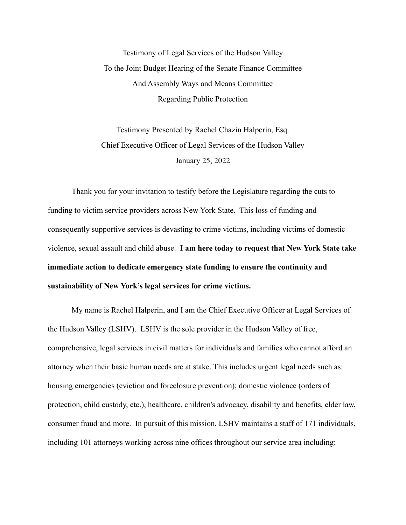Testimony of Legal Services of the Hudson Valley To the Joint Budget Hearing of the Senate Finance Committee And Assembly Ways and Means Committee Regarding Public Protection

Testimony Presented by Rachel Chazin Halperin, Esq. Chief Executive Officer of Legal Services of the Hudson Valley January 25, 2022

Thank you for your invitation to testify before the Legislature regarding the cuts to funding to victim service providers across New York State. This loss of funding and consequently supportive services is devasting to crime victims, including victims of domestic violence, sexual assault and child abuse. **I am here today to request that New York State take immediate action to dedicate emergency state funding to ensure the continuity and sustainability of New York's legal services for crime victims.**

My name is Rachel Halperin, and I am the Chief Executive Officer at Legal Services of the Hudson Valley (LSHV). LSHV is the sole provider in the Hudson Valley of free, comprehensive, legal services in civil matters for individuals and families who cannot afford an attorney when their basic human needs are at stake. This includes urgent legal needs such as: housing emergencies (eviction and foreclosure prevention); domestic violence (orders of protection, child custody, etc.), healthcare, children's advocacy, disability and benefits, elder law, consumer fraud and more. In pursuit of this mission, LSHV maintains a staff of 171 individuals, including 101 attorneys working across nine offices throughout our service area including: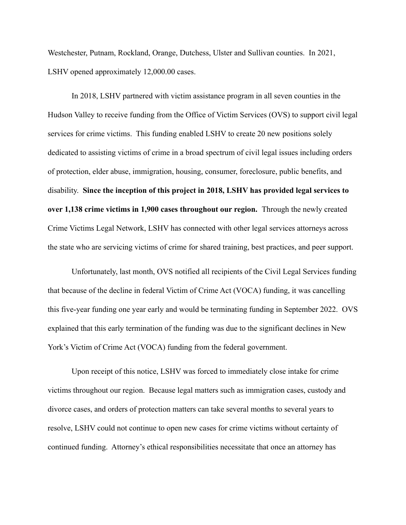Westchester, Putnam, Rockland, Orange, Dutchess, Ulster and Sullivan counties. In 2021, LSHV opened approximately 12,000.00 cases.

In 2018, LSHV partnered with victim assistance program in all seven counties in the Hudson Valley to receive funding from the Office of Victim Services (OVS) to support civil legal services for crime victims. This funding enabled LSHV to create 20 new positions solely dedicated to assisting victims of crime in a broad spectrum of civil legal issues including orders of protection, elder abuse, immigration, housing, consumer, foreclosure, public benefits, and disability. **Since the inception of this project in 2018, LSHV has provided legal services to over 1,138 crime victims in 1,900 cases throughout our region.** Through the newly created Crime Victims Legal Network, LSHV has connected with other legal services attorneys across the state who are servicing victims of crime for shared training, best practices, and peer support.

Unfortunately, last month, OVS notified all recipients of the Civil Legal Services funding that because of the decline in federal Victim of Crime Act (VOCA) funding, it was cancelling this five-year funding one year early and would be terminating funding in September 2022. OVS explained that this early termination of the funding was due to the significant declines in New York's Victim of Crime Act (VOCA) funding from the federal government.

Upon receipt of this notice, LSHV was forced to immediately close intake for crime victims throughout our region. Because legal matters such as immigration cases, custody and divorce cases, and orders of protection matters can take several months to several years to resolve, LSHV could not continue to open new cases for crime victims without certainty of continued funding. Attorney's ethical responsibilities necessitate that once an attorney has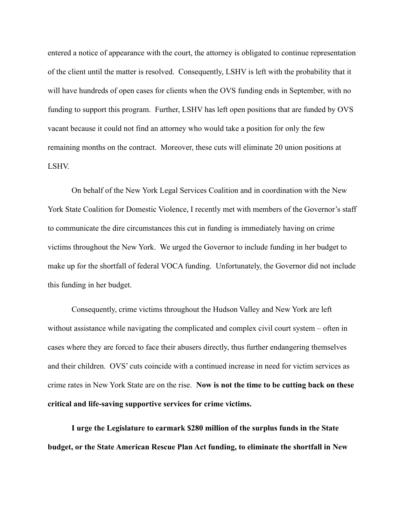entered a notice of appearance with the court, the attorney is obligated to continue representation of the client until the matter is resolved. Consequently, LSHV is left with the probability that it will have hundreds of open cases for clients when the OVS funding ends in September, with no funding to support this program. Further, LSHV has left open positions that are funded by OVS vacant because it could not find an attorney who would take a position for only the few remaining months on the contract. Moreover, these cuts will eliminate 20 union positions at LSHV.

On behalf of the New York Legal Services Coalition and in coordination with the New York State Coalition for Domestic Violence, I recently met with members of the Governor's staff to communicate the dire circumstances this cut in funding is immediately having on crime victims throughout the New York. We urged the Governor to include funding in her budget to make up for the shortfall of federal VOCA funding. Unfortunately, the Governor did not include this funding in her budget.

Consequently, crime victims throughout the Hudson Valley and New York are left without assistance while navigating the complicated and complex civil court system – often in cases where they are forced to face their abusers directly, thus further endangering themselves and their children. OVS' cuts coincide with a continued increase in need for victim services as crime rates in New York State are on the rise. **Now is not the time to be cutting back on these critical and life-saving supportive services for crime victims.**

**I urge the Legislature to earmark \$280 million of the surplus funds in the State budget, or the State American Rescue Plan Act funding, to eliminate the shortfall in New**